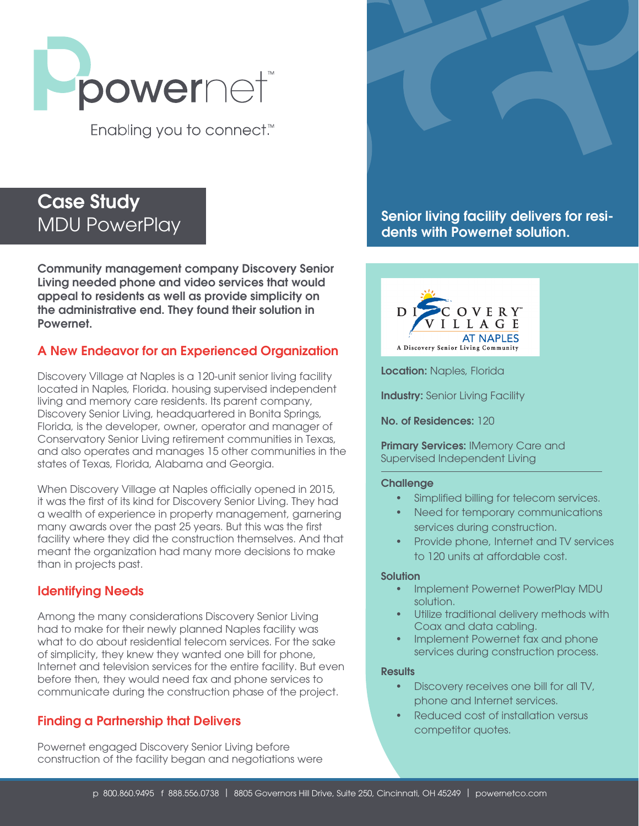

Enabling you to connect.<sup>™</sup>

# Case Study MDU PowerPlay

Community management company Discovery Senior Living needed phone and video services that would appeal to residents as well as provide simplicity on the administrative end. They found their solution in Powernet.

# A New Endeavor for an Experienced Organization

Discovery Village at Naples is a 120-unit senior living facility located in Naples, Florida. housing supervised independent living and memory care residents. Its parent company, Discovery Senior Living, headquartered in Bonita Springs, Florida, is the developer, owner, operator and manager of Conservatory Senior Living retirement communities in Texas, and also operates and manages 15 other communities in the states of Texas, Florida, Alabama and Georgia.

When Discovery Village at Naples officially opened in 2015, it was the first of its kind for Discovery Senior Living. They had a wealth of experience in property management, garnering many awards over the past 25 years. But this was the first facility where they did the construction themselves. And that meant the organization had many more decisions to make than in projects past.

# Identifying Needs

Among the many considerations Discovery Senior Living had to make for their newly planned Naples facility was what to do about residential telecom services. For the sake of simplicity, they knew they wanted one bill for phone, Internet and television services for the entire facility. But even before then, they would need fax and phone services to communicate during the construction phase of the project.

# Finding a Partnership that Delivers

Powernet engaged Discovery Senior Living before construction of the facility began and negotiations were



Senior living facility delivers for residents with Powernet solution.



Location: Naples, Florida

**Industry: Senior Living Facility** 

No. of Residences: 120

Primary Services: IMemory Care and Supervised Independent Living

#### **Challenge**

- Simplified billing for telecom services.
- Need for temporary communications services during construction.
- Provide phone, Internet and TV services to 120 units at affordable cost.

#### **Solution**

- Implement Powernet PowerPlay MDU solution.
- Utilize traditional delivery methods with Coax and data cabling.
- Implement Powernet fax and phone services during construction process.

#### **Results**

- Discovery receives one bill for all TV, phone and Internet services.
- Reduced cost of installation versus competitor quotes.